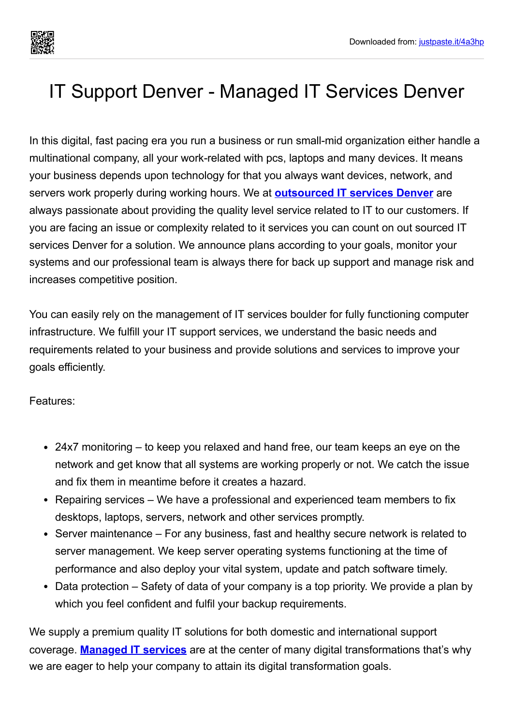

## IT Support Denver - Managed IT Services Denver

In this digital, fast pacing era you run a business or run small-mid organization either handle a multinational company, all your work-related with pcs, laptops and many devices. It means your business depends upon technology for that you always want devices, network, and servers work properly during working hours. We at **[outsourced](https://justpaste.it/redirect/4a3hp/https://pro-is.com/it-services-denver/) IT services Denver** are always passionate about providing the quality level service related to IT to our customers. If you are facing an issue or complexity related to it services you can count on out sourced IT services Denver for a solution. We announce plans according to your goals, monitor your systems and our professional team is always there for back up support and manage risk and increases competitive position.

You can easily rely on the management of IT services boulder for fully functioning computer infrastructure. We fulfill your IT support services, we understand the basic needs and requirements related to your business and provide solutions and services to improve your goals efficiently.

Features:

- 24x7 monitoring to keep you relaxed and hand free, our team keeps an eye on the network and get know that all systems are working properly or not. We catch the issue and fix them in meantime before it creates a hazard.
- Repairing services We have a professional and experienced team members to fix desktops, laptops, servers, network and other services promptly.
- Server maintenance For any business, fast and healthy secure network is related to server management. We keep server operating systems functioning at the time of performance and also deploy your vital system, update and patch software timely.
- Data protection Safety of data of your company is a top priority. We provide a plan by which you feel confident and fulfil your backup requirements.

We supply a premium quality IT solutions for both domestic and international support coverage. **[Managed](https://justpaste.it/redirect/4a3hp/https://pro-is.com/it-services-boulder-co/) IT services** are at the center of many digital transformations that's why we are eager to help your company to attain its digital transformation goals.